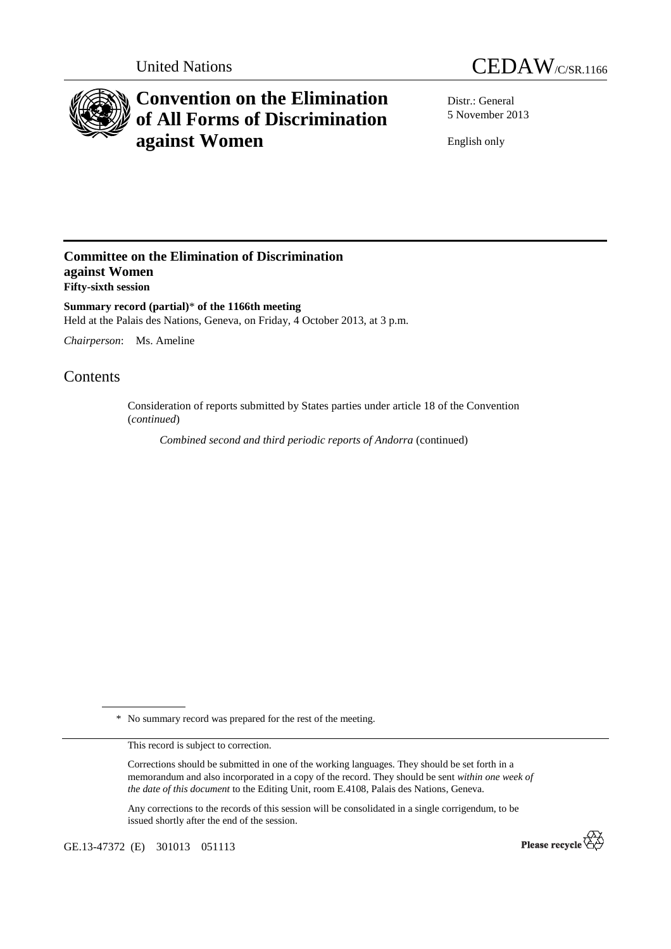



# **Convention on the Elimination of All Forms of Discrimination against Women**

Distr.: General 5 November 2013

English only

### **Committee on the Elimination of Discrimination against Women Fifty-sixth session**

**Summary record (partial)**\* **of the 1166th meeting**  Held at the Palais des Nations, Geneva, on Friday, 4 October 2013, at 3 p.m.

*Chairperson*: Ms. Ameline

## Contents

Consideration of reports submitted by States parties under article 18 of the Convention (*continued*)

*Combined second and third periodic reports of Andorra* (continued)

\* No summary record was prepared for the rest of the meeting.

This record is subject to correction.

Corrections should be submitted in one of the working languages. They should be set forth in a memorandum and also incorporated in a copy of the record. They should be sent *within one week of the date of this document* to the Editing Unit, room E.4108, Palais des Nations, Geneva.

Any corrections to the records of this session will be consolidated in a single corrigendum, to be issued shortly after the end of the session.

GE.13-47372 (E) 301013 051113

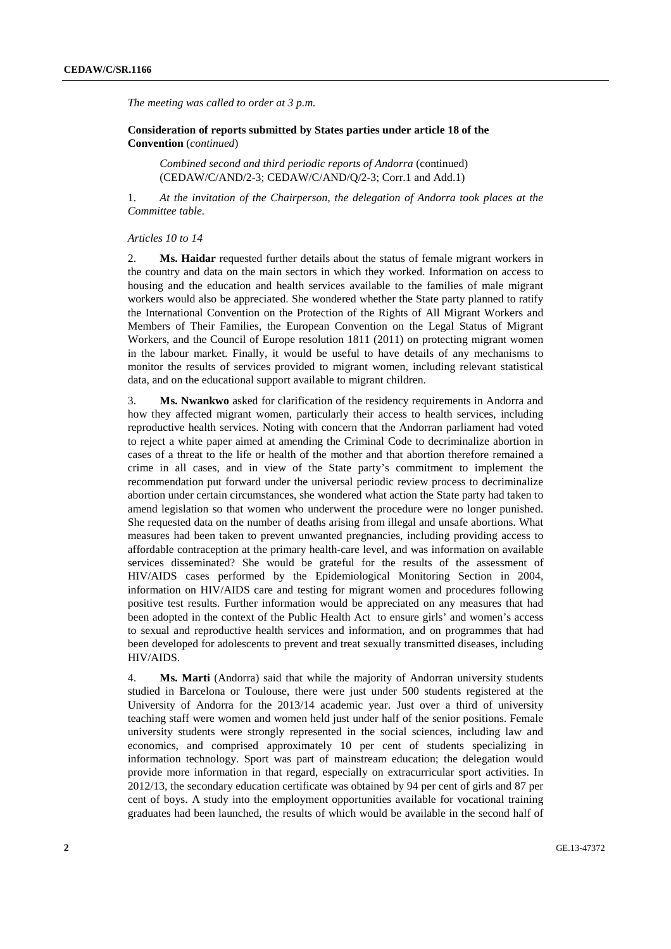*The meeting was called to order at 3 p.m.* 

 **Consideration of reports submitted by States parties under article 18 of the Convention** (*continued*)

*Combined second and third periodic reports of Andorra* (continued) (CEDAW/C/AND/2-3; CEDAW/C/AND/Q/2-3; Corr.1 and Add.1)

1. *At the invitation of the Chairperson, the delegation of Andorra took places at the Committee table.* 

#### *Articles 10 to 14*

2. **Ms. Haidar** requested further details about the status of female migrant workers in the country and data on the main sectors in which they worked. Information on access to housing and the education and health services available to the families of male migrant workers would also be appreciated. She wondered whether the State party planned to ratify the International Convention on the Protection of the Rights of All Migrant Workers and Members of Their Families, the European Convention on the Legal Status of Migrant Workers, and the Council of Europe resolution 1811 (2011) on protecting migrant women in the labour market. Finally, it would be useful to have details of any mechanisms to monitor the results of services provided to migrant women, including relevant statistical data, and on the educational support available to migrant children.

3. **Ms. Nwankwo** asked for clarification of the residency requirements in Andorra and how they affected migrant women, particularly their access to health services, including reproductive health services. Noting with concern that the Andorran parliament had voted to reject a white paper aimed at amending the Criminal Code to decriminalize abortion in cases of a threat to the life or health of the mother and that abortion therefore remained a crime in all cases, and in view of the State party's commitment to implement the recommendation put forward under the universal periodic review process to decriminalize abortion under certain circumstances, she wondered what action the State party had taken to amend legislation so that women who underwent the procedure were no longer punished. She requested data on the number of deaths arising from illegal and unsafe abortions. What measures had been taken to prevent unwanted pregnancies, including providing access to affordable contraception at the primary health-care level, and was information on available services disseminated? She would be grateful for the results of the assessment of HIV/AIDS cases performed by the Epidemiological Monitoring Section in 2004, information on HIV/AIDS care and testing for migrant women and procedures following positive test results. Further information would be appreciated on any measures that had been adopted in the context of the Public Health Act to ensure girls' and women's access to sexual and reproductive health services and information, and on programmes that had been developed for adolescents to prevent and treat sexually transmitted diseases, including HIV/AIDS.

4. **Ms. Marti** (Andorra) said that while the majority of Andorran university students studied in Barcelona or Toulouse, there were just under 500 students registered at the University of Andorra for the 2013/14 academic year. Just over a third of university teaching staff were women and women held just under half of the senior positions. Female university students were strongly represented in the social sciences, including law and economics, and comprised approximately 10 per cent of students specializing in information technology. Sport was part of mainstream education; the delegation would provide more information in that regard, especially on extracurricular sport activities. In 2012/13, the secondary education certificate was obtained by 94 per cent of girls and 87 per cent of boys. A study into the employment opportunities available for vocational training graduates had been launched, the results of which would be available in the second half of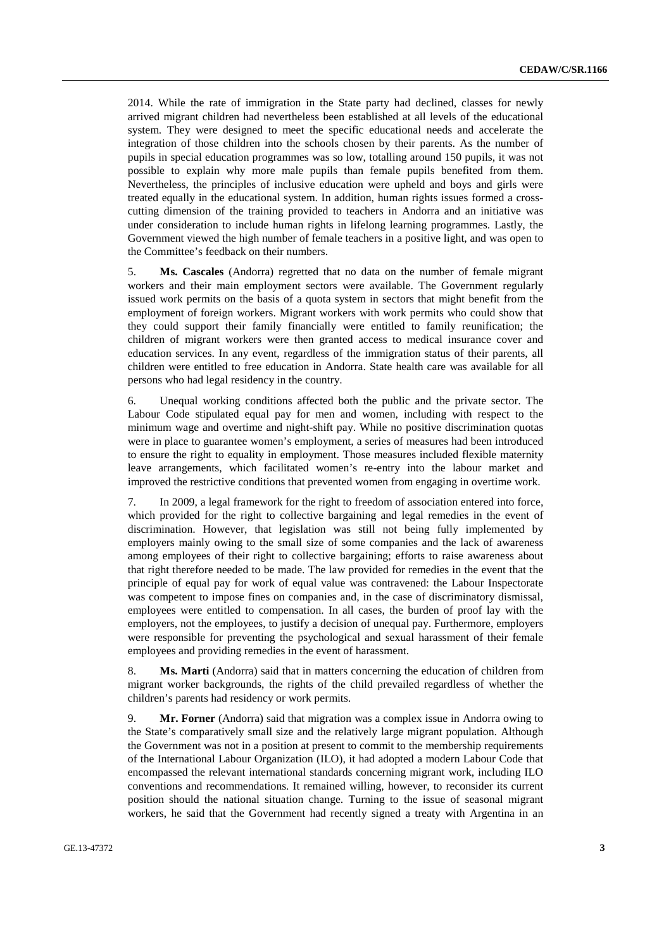2014. While the rate of immigration in the State party had declined, classes for newly arrived migrant children had nevertheless been established at all levels of the educational system. They were designed to meet the specific educational needs and accelerate the integration of those children into the schools chosen by their parents. As the number of pupils in special education programmes was so low, totalling around 150 pupils, it was not possible to explain why more male pupils than female pupils benefited from them. Nevertheless, the principles of inclusive education were upheld and boys and girls were treated equally in the educational system. In addition, human rights issues formed a crosscutting dimension of the training provided to teachers in Andorra and an initiative was under consideration to include human rights in lifelong learning programmes. Lastly, the Government viewed the high number of female teachers in a positive light, and was open to the Committee's feedback on their numbers.

5. **Ms. Cascales** (Andorra) regretted that no data on the number of female migrant workers and their main employment sectors were available. The Government regularly issued work permits on the basis of a quota system in sectors that might benefit from the employment of foreign workers. Migrant workers with work permits who could show that they could support their family financially were entitled to family reunification; the children of migrant workers were then granted access to medical insurance cover and education services. In any event, regardless of the immigration status of their parents, all children were entitled to free education in Andorra. State health care was available for all persons who had legal residency in the country.

6. Unequal working conditions affected both the public and the private sector. The Labour Code stipulated equal pay for men and women, including with respect to the minimum wage and overtime and night-shift pay. While no positive discrimination quotas were in place to guarantee women's employment, a series of measures had been introduced to ensure the right to equality in employment. Those measures included flexible maternity leave arrangements, which facilitated women's re-entry into the labour market and improved the restrictive conditions that prevented women from engaging in overtime work.

7. In 2009, a legal framework for the right to freedom of association entered into force, which provided for the right to collective bargaining and legal remedies in the event of discrimination. However, that legislation was still not being fully implemented by employers mainly owing to the small size of some companies and the lack of awareness among employees of their right to collective bargaining; efforts to raise awareness about that right therefore needed to be made. The law provided for remedies in the event that the principle of equal pay for work of equal value was contravened: the Labour Inspectorate was competent to impose fines on companies and, in the case of discriminatory dismissal, employees were entitled to compensation. In all cases, the burden of proof lay with the employers, not the employees, to justify a decision of unequal pay. Furthermore, employers were responsible for preventing the psychological and sexual harassment of their female employees and providing remedies in the event of harassment.

8. **Ms. Marti** (Andorra) said that in matters concerning the education of children from migrant worker backgrounds, the rights of the child prevailed regardless of whether the children's parents had residency or work permits.

9. **Mr. Forner** (Andorra) said that migration was a complex issue in Andorra owing to the State's comparatively small size and the relatively large migrant population. Although the Government was not in a position at present to commit to the membership requirements of the International Labour Organization (ILO), it had adopted a modern Labour Code that encompassed the relevant international standards concerning migrant work, including ILO conventions and recommendations. It remained willing, however, to reconsider its current position should the national situation change. Turning to the issue of seasonal migrant workers, he said that the Government had recently signed a treaty with Argentina in an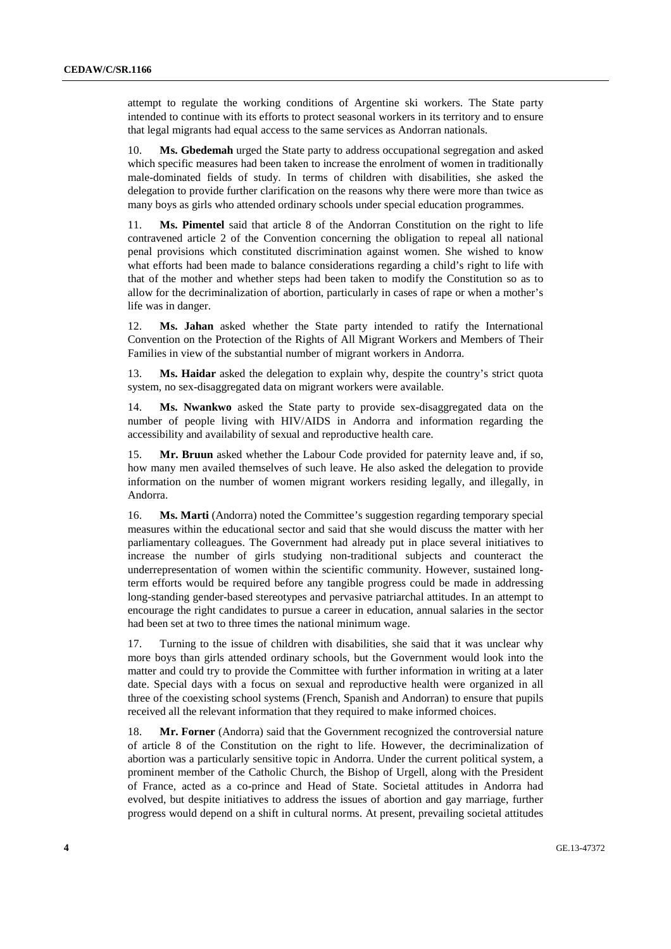attempt to regulate the working conditions of Argentine ski workers. The State party intended to continue with its efforts to protect seasonal workers in its territory and to ensure that legal migrants had equal access to the same services as Andorran nationals.

10. **Ms. Gbedemah** urged the State party to address occupational segregation and asked which specific measures had been taken to increase the enrolment of women in traditionally male-dominated fields of study. In terms of children with disabilities, she asked the delegation to provide further clarification on the reasons why there were more than twice as many boys as girls who attended ordinary schools under special education programmes.

**Ms. Pimentel** said that article 8 of the Andorran Constitution on the right to life contravened article 2 of the Convention concerning the obligation to repeal all national penal provisions which constituted discrimination against women. She wished to know what efforts had been made to balance considerations regarding a child's right to life with that of the mother and whether steps had been taken to modify the Constitution so as to allow for the decriminalization of abortion, particularly in cases of rape or when a mother's life was in danger.

12. **Ms. Jahan** asked whether the State party intended to ratify the International Convention on the Protection of the Rights of All Migrant Workers and Members of Their Families in view of the substantial number of migrant workers in Andorra.

13. **Ms. Haidar** asked the delegation to explain why, despite the country's strict quota system, no sex-disaggregated data on migrant workers were available.

14. **Ms. Nwankwo** asked the State party to provide sex-disaggregated data on the number of people living with HIV/AIDS in Andorra and information regarding the accessibility and availability of sexual and reproductive health care.

15. **Mr. Bruun** asked whether the Labour Code provided for paternity leave and, if so, how many men availed themselves of such leave. He also asked the delegation to provide information on the number of women migrant workers residing legally, and illegally, in Andorra.

16. **Ms. Marti** (Andorra) noted the Committee's suggestion regarding temporary special measures within the educational sector and said that she would discuss the matter with her parliamentary colleagues. The Government had already put in place several initiatives to increase the number of girls studying non-traditional subjects and counteract the underrepresentation of women within the scientific community. However, sustained longterm efforts would be required before any tangible progress could be made in addressing long-standing gender-based stereotypes and pervasive patriarchal attitudes. In an attempt to encourage the right candidates to pursue a career in education, annual salaries in the sector had been set at two to three times the national minimum wage.

17. Turning to the issue of children with disabilities, she said that it was unclear why more boys than girls attended ordinary schools, but the Government would look into the matter and could try to provide the Committee with further information in writing at a later date. Special days with a focus on sexual and reproductive health were organized in all three of the coexisting school systems (French, Spanish and Andorran) to ensure that pupils received all the relevant information that they required to make informed choices.

18. **Mr. Forner** (Andorra) said that the Government recognized the controversial nature of article 8 of the Constitution on the right to life. However, the decriminalization of abortion was a particularly sensitive topic in Andorra. Under the current political system, a prominent member of the Catholic Church, the Bishop of Urgell, along with the President of France, acted as a co-prince and Head of State. Societal attitudes in Andorra had evolved, but despite initiatives to address the issues of abortion and gay marriage, further progress would depend on a shift in cultural norms. At present, prevailing societal attitudes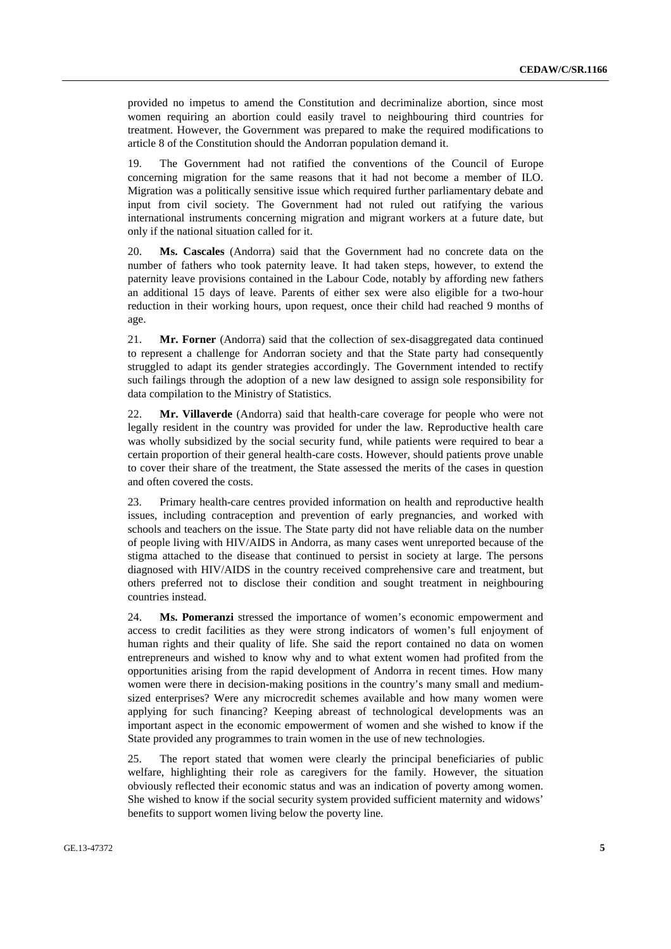provided no impetus to amend the Constitution and decriminalize abortion, since most women requiring an abortion could easily travel to neighbouring third countries for treatment. However, the Government was prepared to make the required modifications to article 8 of the Constitution should the Andorran population demand it.

19. The Government had not ratified the conventions of the Council of Europe concerning migration for the same reasons that it had not become a member of ILO. Migration was a politically sensitive issue which required further parliamentary debate and input from civil society. The Government had not ruled out ratifying the various international instruments concerning migration and migrant workers at a future date, but only if the national situation called for it.

20. **Ms. Cascales** (Andorra) said that the Government had no concrete data on the number of fathers who took paternity leave. It had taken steps, however, to extend the paternity leave provisions contained in the Labour Code, notably by affording new fathers an additional 15 days of leave. Parents of either sex were also eligible for a two-hour reduction in their working hours, upon request, once their child had reached 9 months of age.

21. **Mr. Forner** (Andorra) said that the collection of sex-disaggregated data continued to represent a challenge for Andorran society and that the State party had consequently struggled to adapt its gender strategies accordingly. The Government intended to rectify such failings through the adoption of a new law designed to assign sole responsibility for data compilation to the Ministry of Statistics.

22. **Mr. Villaverde** (Andorra) said that health-care coverage for people who were not legally resident in the country was provided for under the law. Reproductive health care was wholly subsidized by the social security fund, while patients were required to bear a certain proportion of their general health-care costs. However, should patients prove unable to cover their share of the treatment, the State assessed the merits of the cases in question and often covered the costs.

23. Primary health-care centres provided information on health and reproductive health issues, including contraception and prevention of early pregnancies, and worked with schools and teachers on the issue. The State party did not have reliable data on the number of people living with HIV/AIDS in Andorra, as many cases went unreported because of the stigma attached to the disease that continued to persist in society at large. The persons diagnosed with HIV/AIDS in the country received comprehensive care and treatment, but others preferred not to disclose their condition and sought treatment in neighbouring countries instead.

24. **Ms. Pomeranzi** stressed the importance of women's economic empowerment and access to credit facilities as they were strong indicators of women's full enjoyment of human rights and their quality of life. She said the report contained no data on women entrepreneurs and wished to know why and to what extent women had profited from the opportunities arising from the rapid development of Andorra in recent times. How many women were there in decision-making positions in the country's many small and mediumsized enterprises? Were any microcredit schemes available and how many women were applying for such financing? Keeping abreast of technological developments was an important aspect in the economic empowerment of women and she wished to know if the State provided any programmes to train women in the use of new technologies.

25. The report stated that women were clearly the principal beneficiaries of public welfare, highlighting their role as caregivers for the family. However, the situation obviously reflected their economic status and was an indication of poverty among women. She wished to know if the social security system provided sufficient maternity and widows' benefits to support women living below the poverty line.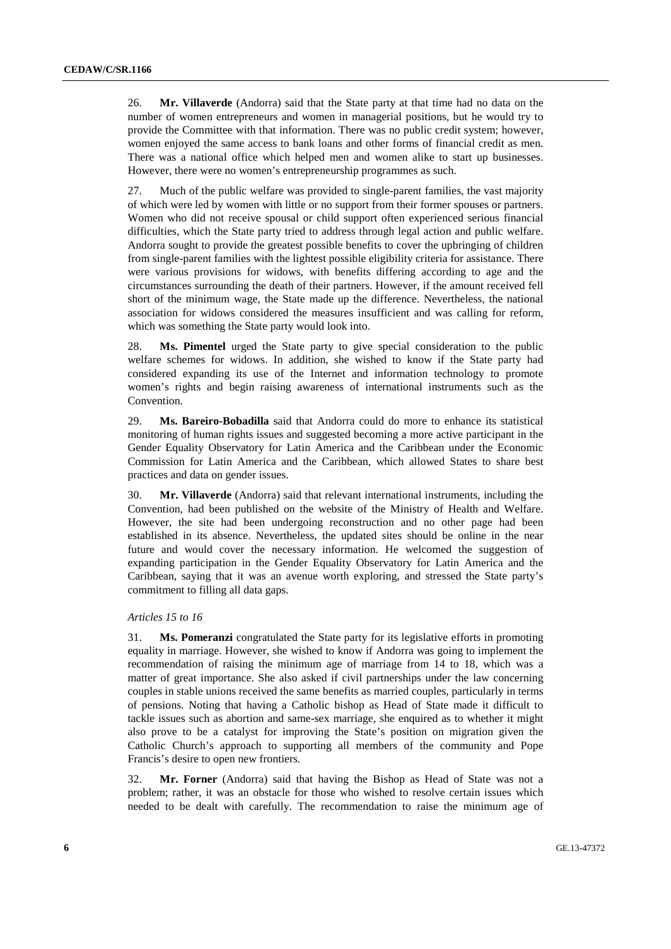26. **Mr. Villaverde** (Andorra) said that the State party at that time had no data on the number of women entrepreneurs and women in managerial positions, but he would try to provide the Committee with that information. There was no public credit system; however, women enjoyed the same access to bank loans and other forms of financial credit as men. There was a national office which helped men and women alike to start up businesses. However, there were no women's entrepreneurship programmes as such.

27. Much of the public welfare was provided to single-parent families, the vast majority of which were led by women with little or no support from their former spouses or partners. Women who did not receive spousal or child support often experienced serious financial difficulties, which the State party tried to address through legal action and public welfare. Andorra sought to provide the greatest possible benefits to cover the upbringing of children from single-parent families with the lightest possible eligibility criteria for assistance. There were various provisions for widows, with benefits differing according to age and the circumstances surrounding the death of their partners. However, if the amount received fell short of the minimum wage, the State made up the difference. Nevertheless, the national association for widows considered the measures insufficient and was calling for reform, which was something the State party would look into.

28. **Ms. Pimentel** urged the State party to give special consideration to the public welfare schemes for widows. In addition, she wished to know if the State party had considered expanding its use of the Internet and information technology to promote women's rights and begin raising awareness of international instruments such as the Convention.

29. **Ms. Bareiro-Bobadilla** said that Andorra could do more to enhance its statistical monitoring of human rights issues and suggested becoming a more active participant in the Gender Equality Observatory for Latin America and the Caribbean under the Economic Commission for Latin America and the Caribbean, which allowed States to share best practices and data on gender issues.

30. **Mr. Villaverde** (Andorra) said that relevant international instruments, including the Convention, had been published on the website of the Ministry of Health and Welfare. However, the site had been undergoing reconstruction and no other page had been established in its absence. Nevertheless, the updated sites should be online in the near future and would cover the necessary information. He welcomed the suggestion of expanding participation in the Gender Equality Observatory for Latin America and the Caribbean, saying that it was an avenue worth exploring, and stressed the State party's commitment to filling all data gaps.

### *Articles 15 to 16*

31. **Ms. Pomeranzi** congratulated the State party for its legislative efforts in promoting equality in marriage. However, she wished to know if Andorra was going to implement the recommendation of raising the minimum age of marriage from 14 to 18, which was a matter of great importance. She also asked if civil partnerships under the law concerning couples in stable unions received the same benefits as married couples, particularly in terms of pensions. Noting that having a Catholic bishop as Head of State made it difficult to tackle issues such as abortion and same-sex marriage, she enquired as to whether it might also prove to be a catalyst for improving the State's position on migration given the Catholic Church's approach to supporting all members of the community and Pope Francis's desire to open new frontiers.

32. **Mr. Forner** (Andorra) said that having the Bishop as Head of State was not a problem; rather, it was an obstacle for those who wished to resolve certain issues which needed to be dealt with carefully. The recommendation to raise the minimum age of